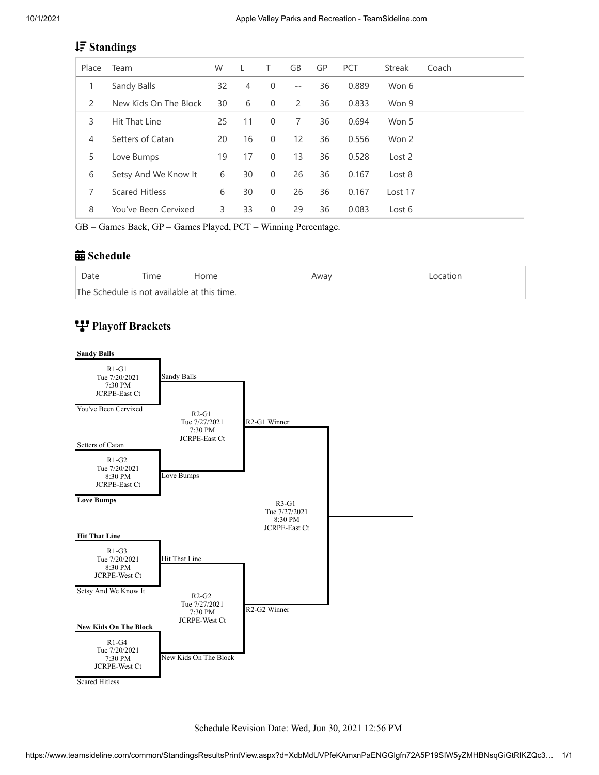# **Standings**

| Place | Team                  | W  |    | T.       | GB             | GP | <b>PCT</b> | <b>Streak</b> | Coach |
|-------|-----------------------|----|----|----------|----------------|----|------------|---------------|-------|
| 1     | Sandy Balls           | 32 | 4  | $\Omega$ | $-$            | 36 | 0.889      | Won 6         |       |
| 2     | New Kids On The Block | 30 | 6  | $\Omega$ | $\overline{2}$ | 36 | 0.833      | Won 9         |       |
| 3     | Hit That Line         | 25 | 11 | $\Omega$ | 7              | 36 | 0.694      | Won 5         |       |
| 4     | Setters of Catan      | 20 | 16 | $\Omega$ | 12             | 36 | 0.556      | Won 2         |       |
| 5     | Love Bumps            | 19 | 17 | $\Omega$ | 13             | 36 | 0.528      | Lost 2        |       |
| 6     | Setsy And We Know It  | 6  | 30 | $\Omega$ | 26             | 36 | 0.167      | Lost 8        |       |
| 7     | <b>Scared Hitless</b> | 6  | 30 | $\Omega$ | 26             | 36 | 0.167      | Lost 17       |       |
| 8     | You've Been Cervixed  | 3  | 33 | $\Omega$ | 29             | 36 | 0.083      | Lost 6        |       |

 $GB =$  Games Back,  $GP =$  Games Played,  $PCT =$  Winning Percentage.

### **曲** Schedule

| Date                                        | $T$ ime | Home | Away | Location |  |
|---------------------------------------------|---------|------|------|----------|--|
| The Schedule is not available at this time. |         |      |      |          |  |

# **Playoff Brackets**